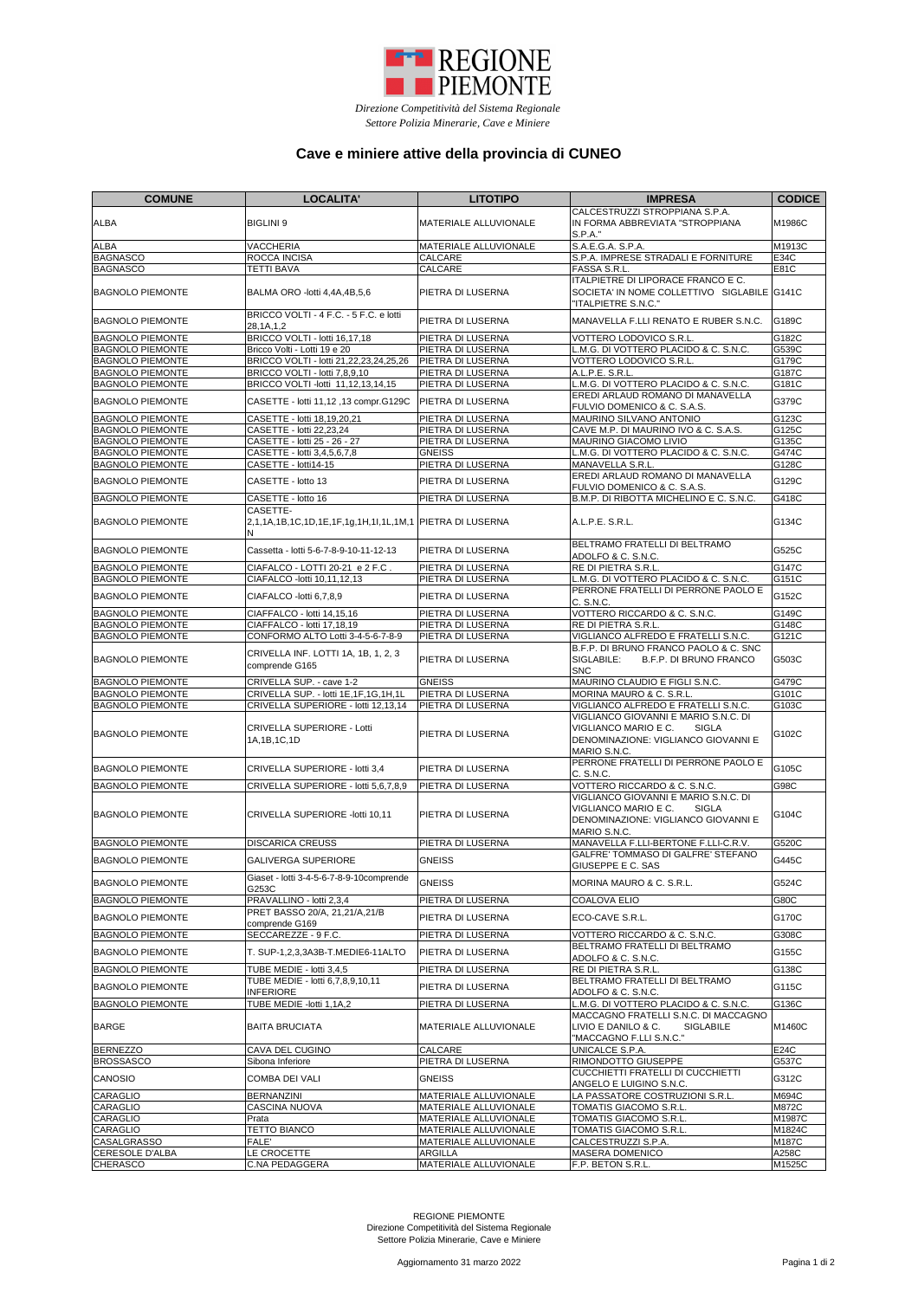| <b>COMUNE</b>                      | <b>LOCALITA'</b>                                         | <b>LITOTIPO</b>                                       | <b>IMPRESA</b>                                                                                                                      | <b>CODICE</b>              |
|------------------------------------|----------------------------------------------------------|-------------------------------------------------------|-------------------------------------------------------------------------------------------------------------------------------------|----------------------------|
| <b>ALBA</b>                        | <b>BIGLINI 9</b>                                         | MATERIALE ALLUVIONALE                                 | CALCESTRUZZI STROPPIANA S.P.A.<br>IN FORMA ABBREVIATA "STROPPIANA<br>S.P.A."                                                        | M1986C                     |
| <b>ALBA</b>                        | <b>VACCHERIA</b>                                         | MATERIALE ALLUVIONALE                                 | S.A.E.G.A. S.P.A.                                                                                                                   | M1913C                     |
| <b>BAGNASCO</b>                    | <b>ROCCA INCISA</b>                                      | <b>CALCARE</b>                                        | S.P.A. IMPRESE STRADALI E FORNITURE                                                                                                 | E34C                       |
| <b>BAGNASCO</b>                    | TETTI BAVA                                               | <b>CALCARE</b>                                        | <b>FASSA S.R.L.</b>                                                                                                                 | <b>E81C</b>                |
| <b>BAGNOLO PIEMONTE</b>            | BALMA ORO - lotti 4,4A,4B,5,6                            | PIETRA DI LUSERNA                                     | ITALPIETRE DI LIPORACE FRANCO E C.<br>SOCIETA' IN NOME COLLETTIVO SIGLABILE G141C<br>"ITALPIETRE S.N.C."                            |                            |
| <b>BAGNOLO PIEMONTE</b>            | BRICCO VOLTI - 4 F.C. - 5 F.C. e lotti<br>28, 1A, 1, 2   | PIETRA DI LUSERNA                                     | MANAVELLA F.LLI RENATO E RUBER S.N.C.                                                                                               | G189C                      |
| <b>BAGNOLO PIEMONTE</b>            | BRICCO VOLTI - lotti 16,17,18                            | PIETRA DI LUSERNA                                     | VOTTERO LODOVICO S.R.L.                                                                                                             | G182C                      |
| <b>BAGNOLO PIEMONTE</b>            | Bricco Volti - Lotti 19 e 20                             | PIETRA DI LUSERNA                                     | L.M.G. DI VOTTERO PLACIDO & C. S.N.C.                                                                                               | G539C                      |
| <b>BAGNOLO PIEMONTE</b>            | BRICCO VOLTI - lotti 21,22,23,24,25,26                   | PIETRA DI LUSERNA                                     | VOTTERO LODOVICO S.R.L.                                                                                                             | G179C                      |
| <b>BAGNOLO PIEMONTE</b>            | BRICCO VOLTI - lotti 7,8,9,10                            | PIETRA DI LUSERNA                                     | A.L.P.E. S.R.L.                                                                                                                     | G187C                      |
| <b>BAGNOLO PIEMONTE</b>            | BRICCO VOLTI - lotti 11,12,13,14,15                      | PIETRA DI LUSERNA                                     | L.M.G. DI VOTTERO PLACIDO & C. S.N.C.<br>EREDI ARLAUD ROMANO DI MANAVELLA                                                           | G181C                      |
| <b>BAGNOLO PIEMONTE</b>            | CASETTE - lotti 11,12,13 compr.G129C                     | <b>PIETRA DI LUSERNA</b>                              | <b>FULVIO DOMENICO &amp; C. S.A.S.</b>                                                                                              | G379C                      |
| <b>BAGNOLO PIEMONTE</b>            | CASETTE - lotti 18,19,20,21                              | PIETRA DI LUSERNA                                     | <b>MAURINO SILVANO ANTONIO</b>                                                                                                      | G123C                      |
| <b>BAGNOLO PIEMONTE</b>            | CASETTE - lotti 22,23,24                                 | PIETRA DI LUSERNA                                     | CAVE M.P. DI MAURINO IVO & C. S.A.S.                                                                                                | G125C                      |
| <b>BAGNOLO PIEMONTE</b>            | CASETTE - lotti 25 - 26 - 27                             | PIETRA DI LUSERNA                                     | <b>MAURINO GIACOMO LIVIO</b>                                                                                                        | G135C                      |
| <b>BAGNOLO PIEMONTE</b>            | CASETTE - lotti 3,4,5,6,7,8                              | <b>GNEISS</b>                                         | L.M.G. DI VOTTERO PLACIDO & C. S.N.C.                                                                                               | G474C                      |
| <b>BAGNOLO PIEMONTE</b>            | CASETTE - lotti14-15                                     | PIETRA DI LUSERNA                                     | MANAVELLA S.R.L.                                                                                                                    | G128C                      |
| <b>BAGNOLO PIEMONTE</b>            | CASETTE - lotto 13                                       | PIETRA DI LUSERNA                                     | EREDI ARLAUD ROMANO DI MANAVELLA                                                                                                    | G129C                      |
| <b>BAGNOLO PIEMONTE</b>            | CASETTE - lotto 16                                       | PIETRA DI LUSERNA                                     | FULVIO DOMENICO & C. S.A.S.<br>B.M.P. DI RIBOTTA MICHELINO E C. S.N.C.                                                              | G418C                      |
|                                    | CASETTE-                                                 |                                                       |                                                                                                                                     |                            |
| <b>BAGNOLO PIEMONTE</b>            | 2,1,1A,1B,1C,1D,1E,1F,1g,1H,1I,1L,1M,1 PIETRA DI LUSERNA |                                                       | A.L.P.E. S.R.L.                                                                                                                     | G134C                      |
| <b>BAGNOLO PIEMONTE</b>            | Cassetta - lotti 5-6-7-8-9-10-11-12-13                   | PIETRA DI LUSERNA                                     | <b>BELTRAMO FRATELLI DI BELTRAMO</b><br>ADOLFO & C. S.N.C.                                                                          | G525C                      |
| <b>BAGNOLO PIEMONTE</b>            | CIAFALCO - LOTTI 20-21 e 2 F.C.                          | PIETRA DI LUSERNA                                     | RE DI PIETRA S.R.L.                                                                                                                 | G147C                      |
| <b>BAGNOLO PIEMONTE</b>            | CIAFALCO - lotti 10,11,12,13                             | PIETRA DI LUSERNA                                     | L.M.G. DI VOTTERO PLACIDO & C. S.N.C.                                                                                               | G151C                      |
| <b>BAGNOLO PIEMONTE</b>            | CIAFALCO -lotti 6,7,8,9                                  | PIETRA DI LUSERNA                                     | PERRONE FRATELLI DI PERRONE PAOLO E<br>C. S.N.C.                                                                                    | G152C                      |
| <b>BAGNOLO PIEMONTE</b>            | CIAFFALCO - lotti 14,15,16                               | PIETRA DI LUSERNA                                     | VOTTERO RICCARDO & C. S.N.C.                                                                                                        | G149C                      |
| <b>BAGNOLO PIEMONTE</b>            | CIAFFALCO - lotti 17,18,19                               | PIETRA DI LUSERNA                                     | RE DI PIETRA S.R.L.                                                                                                                 | G148C                      |
| <b>BAGNOLO PIEMONTE</b>            | CONFORMO ALTO Lotti 3-4-5-6-7-8-9                        | PIETRA DI LUSERNA                                     | VIGLIANCO ALFREDO E FRATELLI S.N.C.                                                                                                 | G121C                      |
| <b>BAGNOLO PIEMONTE</b>            | CRIVELLA INF. LOTTI 1A, 1B, 1, 2, 3<br>comprende G165    | PIETRA DI LUSERNA                                     | B.F.P. DI BRUNO FRANCO PAOLO & C. SNC<br>SIGLABILE:<br><b>B.F.P. DI BRUNO FRANCO</b><br><b>SNC</b>                                  | G503C                      |
| <b>BAGNOLO PIEMONTE</b>            | CRIVELLA SUP. - cave 1-2                                 | <b>GNEISS</b>                                         | MAURINO CLAUDIO E FIGLI S.N.C.                                                                                                      | G479C                      |
| <b>BAGNOLO PIEMONTE</b>            | CRIVELLA SUP. - lotti 1E,1F,1G,1H,1L                     | PIETRA DI LUSERNA                                     | MORINA MAURO & C. S.R.L.                                                                                                            | G101C                      |
| <b>BAGNOLO PIEMONTE</b>            | CRIVELLA SUPERIORE - lotti 12,13,14                      | <b>PIETRA DI LUSERNA</b>                              | VIGLIANCO ALFREDO E FRATELLI S.N.C.                                                                                                 | G103C                      |
| <b>BAGNOLO PIEMONTE</b>            | <b>CRIVELLA SUPERIORE - Lotti</b><br>1A, 1B, 1C, 1D      | PIETRA DI LUSERNA                                     | VIGLIANCO GIOVANNI E MARIO S.N.C. DI<br>VIGLIANCO MARIO E C.<br><b>SIGLA</b><br>DENOMINAZIONE: VIGLIANCO GIOVANNI E<br>MARIO S.N.C. | G102C                      |
| <b>BAGNOLO PIEMONTE</b>            | CRIVELLA SUPERIORE - lotti 3,4                           | PIETRA DI LUSERNA                                     | PERRONE FRATELLI DI PERRONE PAOLO E<br>C. S.N.C.                                                                                    | G105C                      |
| <b>BAGNOLO PIEMONTE</b>            | CRIVELLA SUPERIORE - lotti 5,6,7,8,9                     | PIETRA DI LUSERNA                                     | VOTTERO RICCARDO & C. S.N.C.                                                                                                        | G98C                       |
| <b>BAGNOLO PIEMONTE</b>            | CRIVELLA SUPERIORE -lotti 10,11                          | <b>IPIETRA DI LUSERNA</b>                             | VIGLIANCO GIOVANNI E MARIO S.N.C. DI<br>VIGLIANCO MARIO E C.<br><b>SIGLA</b><br>DENOMINAZIONE: VIGLIANCO GIOVANNI E<br>MARIO S.N.C. | G104C                      |
| <b>BAGNOLO PIEMONTE</b>            | <b>DISCARICA CREUSS</b>                                  | PIETRA DI LUSERNA                                     | MANAVELLA F.LLI-BERTONE F.LLI-C.R.V.                                                                                                | G520C                      |
| <b>BAGNOLO PIEMONTE</b>            | <b>GALIVERGA SUPERIORE</b>                               | <b>GNEISS</b>                                         | GALFRE' TOMMASO DI GALFRE' STEFANO<br><b>GIUSEPPE E C. SAS</b>                                                                      | G445C                      |
| <b>BAGNOLO PIEMONTE</b>            | Giaset - lotti 3-4-5-6-7-8-9-10 comprende<br>G253C       | <b>GNEISS</b>                                         | <b>MORINA MAURO &amp; C. S.R.L.</b>                                                                                                 | G524C                      |
| <b>BAGNOLO PIEMONTE</b>            | PRAVALLINO - lotti 2,3,4                                 | PIETRA DI LUSERNA                                     | <b>COALOVA ELIO</b>                                                                                                                 | G80C                       |
| <b>BAGNOLO PIEMONTE</b>            | PRET BASSO 20/A, 21,21/A,21/B                            | PIETRA DI LUSERNA                                     | ECO-CAVE S.R.L.                                                                                                                     | G170C                      |
| <b>BAGNOLO PIEMONTE</b>            | comprende G169<br>SECCAREZZE - 9 F.C.                    | PIETRA DI LUSERNA                                     | VOTTERO RICCARDO & C. S.N.C.                                                                                                        | G308C                      |
|                                    |                                                          |                                                       | BELTRAMO FRATELLI DI BELTRAMO                                                                                                       |                            |
| <b>BAGNOLO PIEMONTE</b>            | T. SUP-1,2,3,3A3B-T.MEDIE6-11ALTO                        | PIETRA DI LUSERNA                                     | ADOLFO & C. S.N.C.                                                                                                                  | G155C                      |
| <b>BAGNOLO PIEMONTE</b>            | TUBE MEDIE - lotti 3,4,5                                 | PIETRA DI LUSERNA                                     | RE DI PIETRA S.R.L.                                                                                                                 | G138C                      |
| <b>BAGNOLO PIEMONTE</b>            | TUBE MEDIE - lotti 6,7,8,9,10,11<br><b>INFERIORE</b>     | PIETRA DI LUSERNA                                     | <b>BELTRAMO FRATELLI DI BELTRAMO</b><br>ADOLFO & C. S.N.C.                                                                          | G115C                      |
| <b>BAGNOLO PIEMONTE</b>            | TUBE MEDIE - lotti 1,1A,2                                | PIETRA DI LUSERNA                                     | L.M.G. DI VOTTERO PLACIDO & C. S.N.C.                                                                                               | $\overline{\text{G}}$ 136C |
| <b>BARGE</b>                       | <b>BAITA BRUCIATA</b>                                    | <b>MATERIALE ALLUVIONALE</b>                          | MACCAGNO FRATELLI S.N.C. DI MACCAGNO<br>LIVIO E DANILO & C.<br><b>SIGLABILE</b><br>"MACCAGNO F.LLI S.N.C."                          | M1460C                     |
| <b>BERNEZZO</b>                    | <b>CAVA DEL CUGINO</b>                                   | <b>CALCARE</b>                                        | UNICALCE S.P.A.                                                                                                                     | <b>E24C</b>                |
| <b>BROSSASCO</b>                   | Sibona Inferiore                                         | PIETRA DI LUSERNA                                     | RIMONDOTTO GIUSEPPE                                                                                                                 | G537C                      |
| <b>CANOSIO</b>                     | <b>COMBA DEI VALI</b>                                    | <b>GNEISS</b>                                         | <b>CUCCHIETTI FRATELLI DI CUCCHIETTI</b>                                                                                            | G312C                      |
|                                    |                                                          |                                                       | ANGELO E LUIGINO S.N.C.                                                                                                             |                            |
| <b>CARAGLIO</b><br><b>CARAGLIO</b> | <b>BERNANZINI</b><br><b>CASCINA NUOVA</b>                | <b>MATERIALE ALLUVIONALE</b><br>MATERIALE ALLUVIONALE | LA PASSATORE COSTRUZIONI S.R.L.                                                                                                     | M694C<br>M872C             |
| <b>CARAGLIO</b>                    | Prata                                                    | MATERIALE ALLUVIONALE                                 | TOMATIS GIACOMO S.R.L.<br>TOMATIS GIACOMO S.R.L.                                                                                    | M1987C                     |
| <b>CARAGLIO</b>                    | <b>TETTO BIANCO</b>                                      | MATERIALE ALLUVIONALE                                 | TOMATIS GIACOMO S.R.L.                                                                                                              | M1824C                     |
| <b>CASALGRASSO</b>                 | <b>FALE'</b>                                             | MATERIALE ALLUVIONALE                                 | CALCESTRUZZI S.P.A.                                                                                                                 | <b>M187C</b>               |
|                                    |                                                          |                                                       |                                                                                                                                     | A258C                      |
| <b>CERESOLE D'ALBA</b>             | LE CROCETTE<br><b>C.NA PEDAGGERA</b>                     | <b>ARGILLA</b>                                        | <b>MASERA DOMENICO</b>                                                                                                              |                            |



*Direzione Competitività del Sistema Regionale Settore Polizia Minerarie, Cave e Miniere*

## **Cave e miniere attive della provincia di CUNEO**

REGIONE PIEMONTE Direzione Competitività del Sistema Regionale Settore Polizia Minerarie, Cave e Miniere